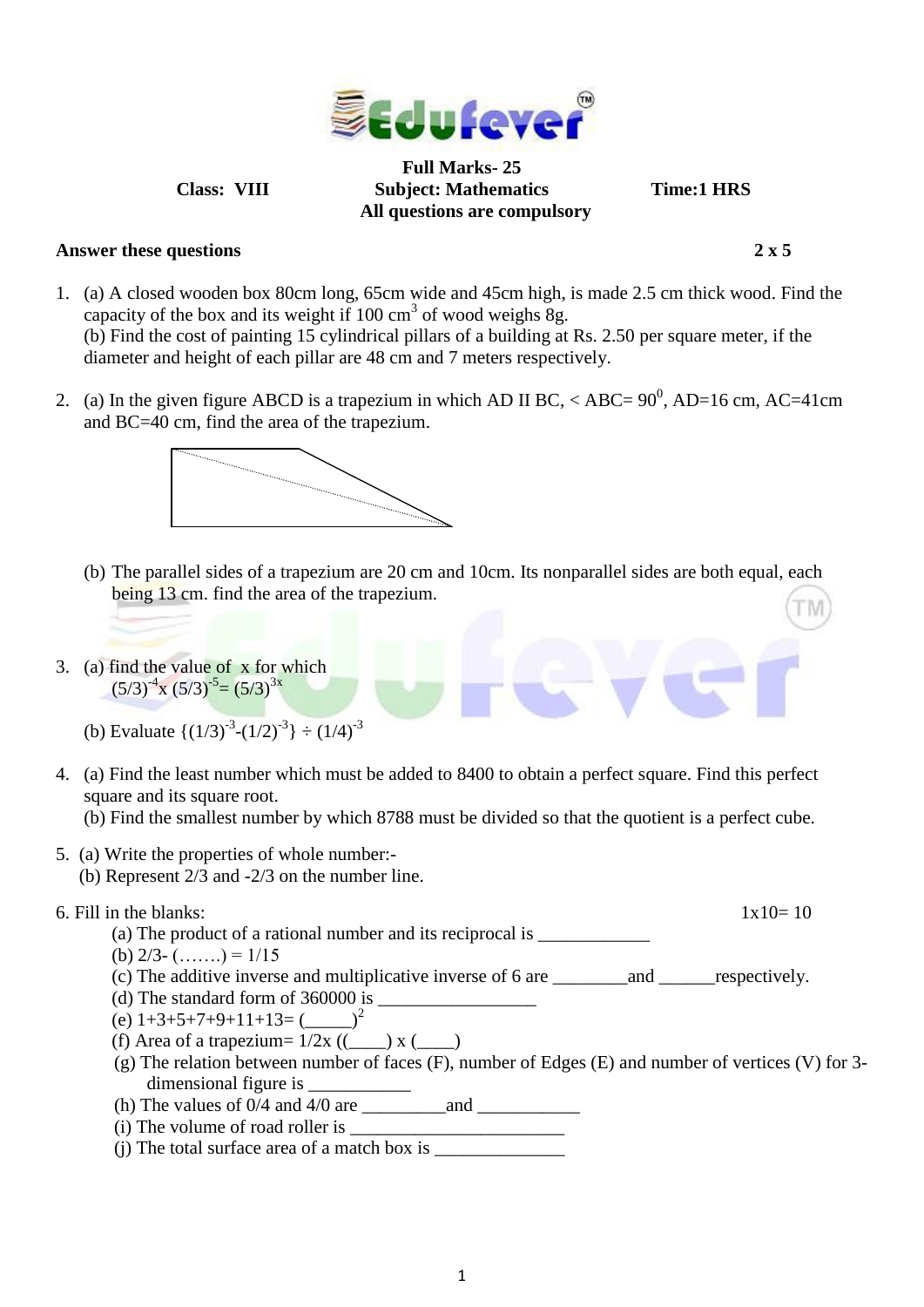

**Full Marks- 25 Class: VIII Subject: Mathematics Time:1 HRS All questions are compulsory**

## **Answer these questions 2 x 5**

- 1. (a) A closed wooden box 80cm long, 65cm wide and 45cm high, is made 2.5 cm thick wood. Find the capacity of the box and its weight if  $100 \text{ cm}^3$  of wood weighs 8g. (b) Find the cost of painting 15 cylindrical pillars of a building at Rs. 2.50 per square meter, if the diameter and height of each pillar are 48 cm and 7 meters respectively.
- 2. (a) In the given figure ABCD is a trapezium in which AD II BC,  $\langle$  ABC= 90<sup>0</sup>, AD=16 cm, AC=41cm and BC=40 cm, find the area of the trapezium.



- (b) The parallel sides of a trapezium are 20 cm and 10cm. Its nonparallel sides are both equal, each being 13 cm. find the area of the trapezium.
- 3. (a) find the value of x for which  $(5/3)^{-4}$ x  $(5/3)^{-5}$  =  $(5/3)^{3x}$

- 4. (a) Find the least number which must be added to 8400 to obtain a perfect square. Find this perfect square and its square root.
	- (b) Find the smallest number by which 8788 must be divided so that the quotient is a perfect cube.
- 5. (a) Write the properties of whole number:- (b) Represent 2/3 and -2/3 on the number line.
- 6. Fill in the blanks:  $1 \times 10 = 10$ 
	- (a) The product of a rational number and its reciprocal is \_\_\_\_\_\_\_\_\_\_\_\_\_\_\_\_\_\_\_\_\_
	- (b)  $2/3$   $(\ldots)$  =  $1/15$
	- (c) The additive inverse and multiplicative inverse of 6 are \_\_\_\_\_\_\_\_and \_\_\_\_\_\_respectively.
	- (d) The standard form of  $360000$  is
	- (e)  $1+3+5+7+9+11+13=$  ( $2^2$
	- (f) Area of a trapezium=  $1/2x$  ((\_\_\_) x (\_\_\_)
	- (g) The relation between number of faces (F), number of Edges (E) and number of vertices (V) for 3 dimensional figure is
	- (h) The values of 0/4 and 4/0 are \_\_\_\_\_\_\_\_\_and \_\_\_\_\_\_\_\_\_\_\_
	- $(i)$  The volume of road roller is
	- $(i)$  The total surface area of a match box is

<sup>(</sup>b) Evaluate  $\{(1/3)^{-3}-(1/2)^{-3}\} \div (1/4)^{-3}$